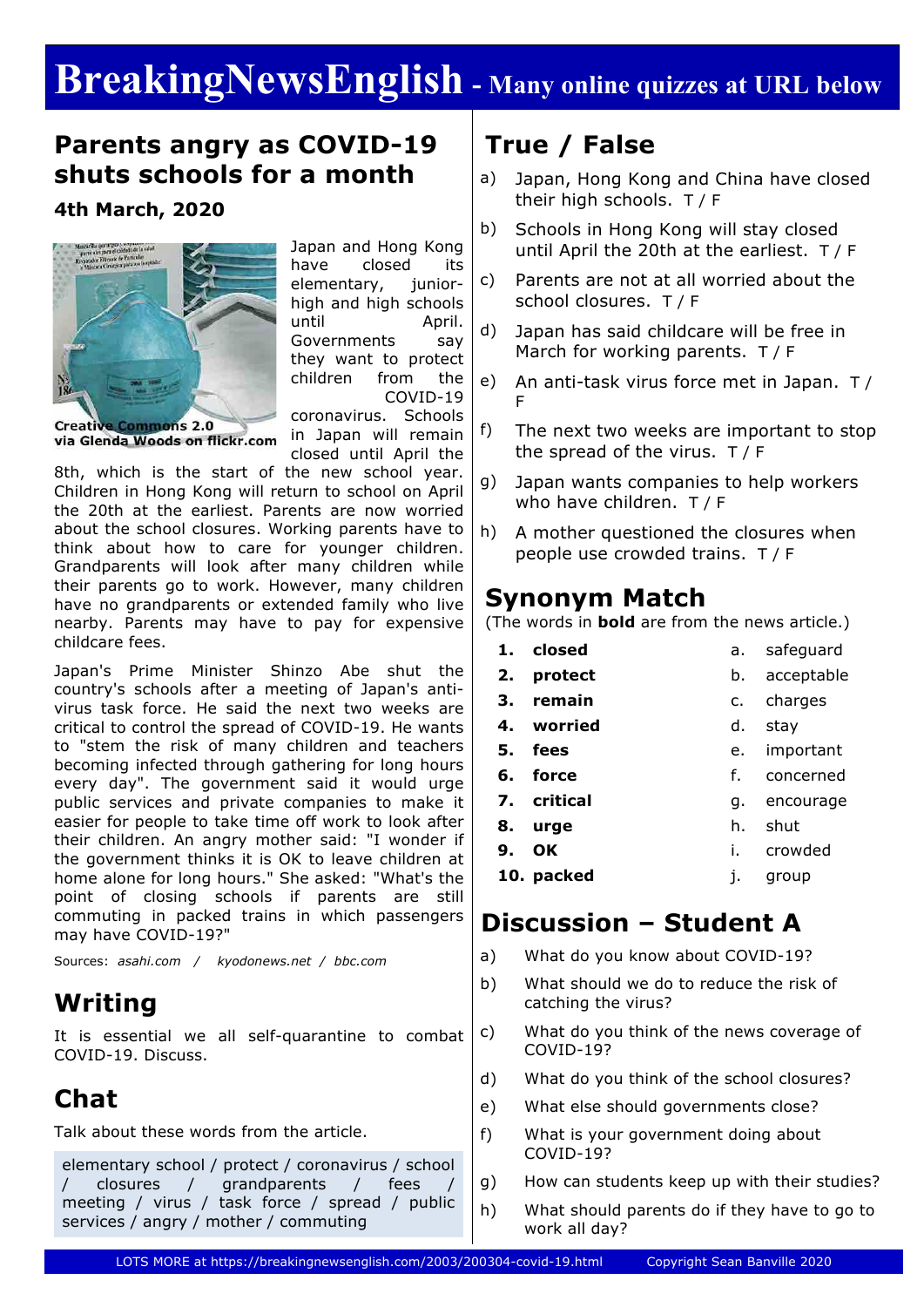# **BreakingNewsEnglish - Many online quizzes at URL below**

### **Parents angry as COVID-19 shuts schools for a month**

**4th March, 2020**



Japan and Hong Kong have closed its elementary, juniorhigh and high schools until April. Governments say they want to protect children from the COVID-19

**Creative Commons 2.0** via Glenda Woods on flickr.com coronavirus. Schools in Japan will remain closed until April the

8th, which is the start of the new school year. Children in Hong Kong will return to school on April the 20th at the earliest. Parents are now worried about the school closures. Working parents have to think about how to care for younger children. Grandparents will look after many children while their parents go to work. However, many children have no grandparents or extended family who live nearby. Parents may have to pay for expensive childcare fees.

Japan's Prime Minister Shinzo Abe shut the country's schools after a meeting of Japan's antivirus task force. He said the next two weeks are critical to control the spread of COVID-19. He wants to "stem the risk of many children and teachers becoming infected through gathering for long hours every day". The government said it would urge public services and private companies to make it easier for people to take time off work to look after their children. An angry mother said: "I wonder if the government thinks it is OK to leave children at home alone for long hours." She asked: "What's the point of closing schools if parents are still commuting in packed trains in which passengers may have COVID-19?"

Sources: *asahi.com / kyodonews.net / bbc.com*

## **Writing**

It is essential we all self-quarantine to combat COVID-19. Discuss.

## **Chat**

Talk about these words from the article.

elementary school / protect / coronavirus / school / closures / grandparents / fees / meeting / virus / task force / spread / public services / angry / mother / commuting

# **True / False**

- a) Japan, Hong Kong and China have closed their high schools. T / F
- b) Schools in Hong Kong will stay closed until April the 20th at the earliest. T / F
- c) Parents are not at all worried about the school closures. T / F
- d) Japan has said childcare will be free in March for working parents. T / F
- e) An anti-task virus force met in Japan. T / F
- f) The next two weeks are important to stop the spread of the virus. T / F
- g) Japan wants companies to help workers who have children. T / F
- h) A mother questioned the closures when people use crowded trains. T / F

### **Synonym Match**

(The words in **bold** are from the news article.)

|         | 1. closed   | a.             | safeguard  |
|---------|-------------|----------------|------------|
|         | 2. protect  | b.             | acceptable |
| З.      | remain      | $\mathsf{C}$ . | charges    |
| 4.      | worried     | d.             | stav       |
| 5. fees |             | e.             | important  |
| 6.      | force       | f.             | concerned  |
|         | 7. critical | q.             | encourage  |
| 8.      | urge        | h.             | shut       |
| 9.      | OK          | İ.             | crowded    |
|         | 10. packed  | ı.             | group      |

### **Discussion – Student A**

- a) What do you know about COVID-19?
- b) What should we do to reduce the risk of catching the virus?
- c) What do you think of the news coverage of COVID-19?
- d) What do you think of the school closures?
- e) What else should governments close?
- f) What is your government doing about COVID-19?
- g) How can students keep up with their studies?
- h) What should parents do if they have to go to work all day?